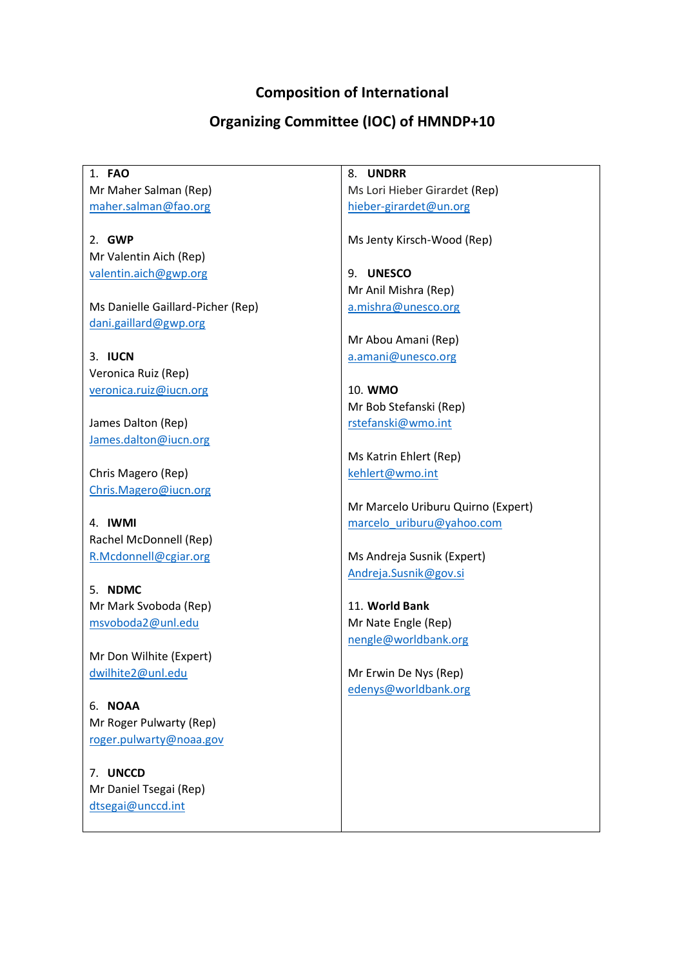## **Composition of International**

## **Organizing Committee (IOC) of HMNDP+10**

1. **FAO** Mr Maher Salman (Rep) [maher.salman@fao.org](mailto:maher.salman@fao.org)

2. **GWP** Mr Valentin Aich (Rep) [valentin.aich@gwp.org](mailto:valentin.aich@gwp.org)

Ms Danielle Gaillard-Picher (Rep) [dani.gaillard@gwp.org](mailto:dani.gaillard@gwp.org)

3. **IUCN**  Veronica Ruiz (Rep) [veronica.ruiz@iucn.org](mailto:veronica.ruiz@iucn.org) 

James Dalton (Rep) [James.dalton@iucn.org](mailto:James.dalton@iucn.org)

Chris Magero (Rep) [Chris.Magero@iucn.org](mailto:Chris.Magero@iucn.org)

4. **IWMI** Rachel McDonnell (Rep) [R.Mcdonnell@cgiar.org](mailto:R.Mcdonnell@cgiar.org)

5. **NDMC** Mr Mark Svoboda (Rep) [msvoboda2@unl.edu](mailto:msvoboda2@unl.edu)

Mr Don Wilhite (Expert) [dwilhite2@unl.edu](mailto:dwilhite2@unl.edu)

6. **NOAA** Mr Roger Pulwarty (Rep) [roger.pulwarty@noaa.gov](mailto:roger.pulwarty@noaa.gov)

7. **UNCCD** Mr Daniel Tsegai (Rep) [dtsegai@unccd.int](mailto:dtsegai@unccd.int)

8. **UNDRR** Ms Lori Hieber Girardet (Rep) [hieber-girardet@un.org](mailto:hieber-girardet@un.org)

Ms Jenty Kirsch-Wood (Rep)

9. **UNESCO** Mr Anil Mishra (Rep) [a.mishra@unesco.org](mailto:a.mishra@unesco.org)

Mr Abou Amani (Rep) [a.amani@unesco.org](mailto:a.amani@unesco.org)

10. **WMO** Mr Bob Stefanski (Rep) [rstefanski@wmo.int](mailto:rstefanski@wmo.int)

Ms Katrin Ehlert (Rep) [kehlert@wmo.int](mailto:kehlert@wmo.int)

Mr Marcelo Uriburu Quirno (Expert) [marcelo\\_uriburu@yahoo.com](mailto:marcelo_uriburu@yahoo.com)

Ms Andreja Susnik (Expert) [Andreja.Susnik@gov.si](mailto:Andreja.Susnik@gov.si)

11. **World Bank** Mr Nate Engle (Rep) [nengle@worldbank.org](mailto:nengle@worldbank.org)

Mr Erwin De Nys (Rep) [edenys@worldbank.org](mailto:edenys@worldbank.org)